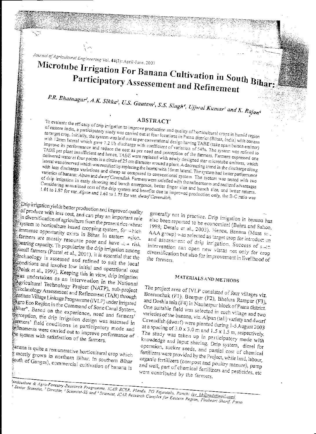Journal of Agricultural Engineering Vol. 44(2): April-June, 2007

# Microtube Irrigation For Banana Cultivation in South Bihar Participatory Assessement and Refinement

P.R. Bhatnagar', A.K. Sikka<sup>2</sup>, U.S. Gautam<sup>3</sup>, S.S. Singh<sup>4</sup>, Ujjwal Kumar<sup>5</sup> and K. Rajan<sup>6</sup>

### ABSTRACT'

To evaluate the efficacy of drip irrigation to improve production and quality of horticultural crops in humid region of eastern India, a participatory study was carried out at four locations in Patna district (Bihar, India) with banana as target crop. Initially, the system was laid out as per conventional design having TABE (take apart button emitter) with 12mm lateral which gave 7.2 Vb discharge with coefficient of variation of 54%. The system was refined to improve its performance and reduce the cost as per need and perception of the farmers. Farmers expressed one TABE per plant insufficient and hence, TABE were replaced with newly designed star microtube emitters, which delivered water at four points in a circle of 25 cm diameter around a plant. A decreasing trend in the discharge along lateral was observed which was rectified by replacing the lateral with 16mm lateral. The system had better performance with less discharge variations and cheap as compared to conventional system. The system was tested with two varieties of banana: Alpan and dwarf Cavendish. Farmers were satisfied with the refinements and realized advantages of drip irrigation in early shooting and bunch emergence, better finger size and bunch size, and better returns. Considering annualised cost of the drip system and benefits due to improved production only, the B-C ratio was

 $\mathbb{R}$ Drip irrigation yields better production and improved quality of produce with less cost, and can play an important role In diversification of agriculture from the present rice-wheat system to horticulture based cropping system, for which immense opportunity exists in Bihar. In eastern estion, farmers are mostly resource poor and have  $\omega_{\Omega}$  risk இந்earing capacity. To popularize the drip irrigation among small farmers (Postel et al., 2001), it is essential that the dechnology is assessed and refined to suit the local conditions and involve low initial and operational cost polak et al., 1997). Keeping this in view, drip irrigation was undertaken as an intervention in the National sa<br>gericultural Technology Project (NATP), sub-project echnology Assessment and Refinement (TAR) through sinstitute Village Linkage Programme (IVLP) under Irrigated example Eco Region in the Command of Sone Canal System, of thar". Based on the experience, need and farmers' perception, the drip irrigation design was assessed in farmers' field conditions in participatory mode and refinements were carried out to improve performance of the system with satisfaction of the farmers.

anana is quite a remunerative horticultural crop which s mostly grown in northern Bihar. In southern Bihar south of Ganges), commercial cultivation of banana is

generally not in practice. Drip irrigation in banana has also been reported to be economical (Benra and Sahoo, 1998; Desale et al., 2003). Hence, Banana (Musa se., AAA group) was selected as target crop for introduction and assessment of drip irrigation. Success of since intervention can open new vistas not only for crop diversification but also for improvement in livelihood of the farmers.

## MATERIALS AND METHODS

The project area of IVLP consisted of four villages viz. Beeranchak (F1), Beerpur (F2), Bhelura Rampur (F3), and Doshia tola (F4) in Naubatpur block of Patna district. One suitable field was selected in each village and two varieties of the banana, viz. Alpan (tall) variety and dwarf Cavendish (dwarf) were planted during 1-5 August 2003 at a spacing of 3.0 x 3.0 m and 1.5 x 1.5 m, respectively. The study was taken up in participatory mode with knowledge and input sharing. Drip system, diesel for operation, sucker seeds, and partial cost of chemical fertilizers were provided by the Project, while land, labour, organic fertilizers (compost and poultry manure), pump and well, part of chemical fertilizers and pesticides, etc were contributed by the farmers.

forticulture & Agro-Forestry Research Programme. ICAR RCER, Plandu, PO Rajautalu, Ranchi (pr. bh@rediffmail.com) All Senior Scientist, A Director, Scientist-SS and Scientist, ICAR Research Complex for Eastern Region, Phulwari Sharif. Patna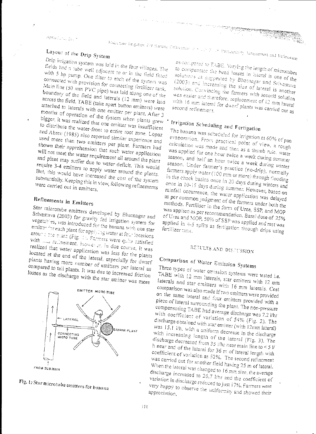$\Delta p_{\Omega\left(\cdot,\cdot,\omega_{\infty}\right)\geq_{\Omega\left(\cdot\right)}}\,,$ 

Alicie tone fingation for Barano Colineman in Such F. or Patherpolisty Assessment and Refinement

# Layout of the Drip System

Drip irrigation system was laid in the four villages. The fields had a tube well adjacent to or in the field fitted with 5 hp pump. One filter to each of the system was connected with provision for connecting fertilizer tank. Main line (50 mm PVC pipe) was laid along one of the boundary of the field and laterals (12 mm) were laid across the field. TABE (take apart button emitters) were attached to laterals with one emitter per plant. After 3 months of operation of the system when plants grew bigger, it was realized that one emitter was insufficient to distribute the water-front to entire root zone. Lopaz and Abreu (1985) also reported similar experience and used more than two emitters per plant. Farmers had shown their apprehension that such water application will not meet the water requirement all around the plant and plant may suffer due to water deficit. This would require 3-4 emitters to apply water around the plants. But, this would have increased the cost of the system substantially. Keeping this in view, following refinements were carried out in emitters.

# Refinements in Emitters

Star microtube emitters developed by Bhatnagar and Srivastava (2003) for gravity fed irrigation system for vegetables, was introduced for the banana with one star emitter for each plant for applying water at four locations around the blant (Fig. 1). Farmers were quite satisfied with ...., rechnement. However, in due course, it was realized that water application was less for the plants located at the end of the lateral, especially for dwarf plants having more number of emitters per iateral as compared to tall plants. It was due to increased friction losses as the discharge with the star emitter was more





as compared to TABE. Varying the length of microtubes to compensate the head losses in lateral is one of the solutions as suggested by Bhatnagar and Srivastava (2003) and increasing the size of lateral is another solution. Convincing the farmers with second solution was easier and therefore, replacement of 12 mm lateral with 16 mm lateral for dwarf plants was carried out as

# Irrigation Scheduling and Fertigation

The banana was scheduled for irrigation at 60% of pan evaporation. From practical point of view, a rough calculation was made and then as a thumb rule, water was applied for one hour twice a week during summer season, and half an hour twice a week during winter season. Under farmer's practice (no-drip), normally farmers apply water (100 mm or more) through flooding in the check basins once in 20 days during winters and once in 10-15 days during summer. However, based on rainfall occurrence, the water application was delayed as per common judgment of the farmers under both the methods. Fertiliser in the form of Urea, SSP, and MOP was applied as per recommendation. Basal dose of 25% of Urea and MOP, 50% of SSP was applied and rest was applied in 4-5 splits as fertigation through drips using

## RESULTS AND DISCUSSION

# Comparison of Water Emission Systems

Three types of water emission systems were tested i.e. TABE with 12 mm laterals, star emitters with 12 mm laterals and star emitters with 16 mm laterals. Cost comparison was also made if two emitters were provided on the same lateral and four emitters provided with a piece of lateral surrounding the plant. The non-pressure compensating TABE had average discharge was 7.2 l/hr with coefficient of variation of 54% (Fig. 2). The discharge obtained with star emitter (with 12mm lateral) was  $15.1$   $1/h$ , with a uniform decrease in the discharge with increasing length of the lateral (Fig. 3). The discharge decreased from 35 l/hr near main line to  $\lt 5$  l/ h near end of the lateral for 36 m of lateral length with coefficient of variation as 52%. The second refinement was carried out for another field having 25 m of lateral. When the lateral was changed to 16 mm size, the average discharge increased to  $26.7$  *l/hr* and the coefficient of variation in discharge reduced to just 17%. Farmers were very happy to observe the uniformity and showed their appreciation.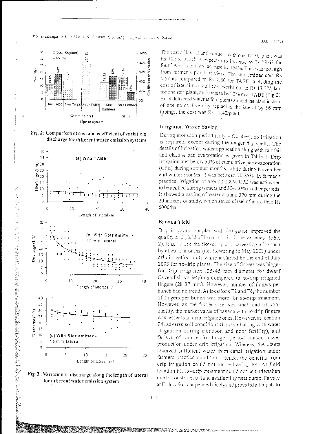





「このことは、そのことに、「このことには、「このことは、「このことは、「このことは、「このことは、「このことは、「このことは、「このことは、「このことは、「このことは、「このこと」と、「このことは、「<br>「このことは、「このこと」とは、「このことは、「このことは、「このことは、「このことは、「このことは、「このことは、「このことは、「このことは、「このことは、「このことは、「このことは、「このことは、「このことは、「この



The cost of lateral and emitters with one TABE/plant was Rs 10.85, which is expected to increase to Rs 28.63 for four TABE plant, an increase by 164%. This was too high from farmer's point of view. The star emitter cost Rs 4.67 as compared to Rs 2.80 for TABE. Including the cost of iateral the total cost works out to Rs 13.22/plant for one star/plant, an increase by 22% over TABE (Fig.2). But it delivered water at four points around the plant instead of one point. Even by replacing the lateral by 16 mm tubings, the cost was Rs 17.42/plant.

#### Irrigation Water Saving

During monsoon period (July - October), no irrigation is required, except during the ionger dry spells. The details of irrigation water application along with rainfall and class A pan evaporation is given in Table 1. Drip irrigation met below 50% of cumulative pan evaporation (CPE) during summer months, while during November and winter months, it was between 70-85%. In farmer's practice, irrigation of around 200% CPE was estimated to be applied during winters and 80-100% in other periods. It showed a saving of water around 370 mm during the 20 months of study, which saved diesel of more than Rs 6000/ha.

#### Banana Yield

Drip irrigation coupled with fertigation improved the quality onligibid of banana in buch the varieties. Table, 2). It act is ded the flowering and narvesting of rananal by about 3 months (i.e. flowering in May 2003) underdrip irrigation plots while it started by the end of July 2003 for no-drip plants. The size of fingers was bigger for drip irrigation (35-45 mm diameter for dwarf Cavendish variety) as compared to no-drip irrigated fingers (28-37 mm). However, number of fingers per bunch had no trend. At locations F2 and F4, the number of fingers per bunch was more for no-drip treatment. However, as the finger size was small and of poor quality, the market value of banana with no-drip fingers was lesser than drip irrigated ones. However, at location F4, adverse soil conditions (hard soil along with water stagnation during monsoon and poor fertility), and failure of pumps for longer period caused iesser production under drip irrigation. Whereas, the plants received sufficient water from canal irrigation under farmers practice condition. Hence, the benefits from drip irrigation could not be realized at F4. At field location F1, no-drip treatment could not be undertaken due to constraint of land availability near pump. Farmer at F1 location cooperated nicely and provided all inputs to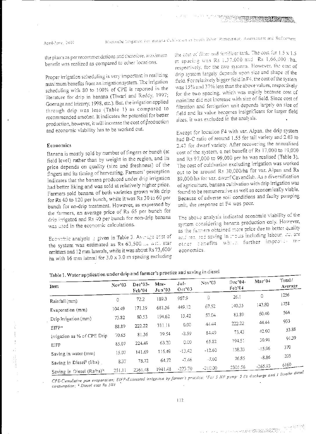April-Jene, 2007

the plants as per recommendations and therefore, maximum benefit was realized as compared to other locations.

Proper irrigation scheduling is very important in realizing maximum benefits from an irrigation system. The irrigation scheduling with 80 to 100% of CPE is reported in the literature for drip in banana (Tiwari and Reddy, 1997; Goenaga and Irizarry, 1998, etc.). But, the irrigation applied through drip was less (Table 1) as compared to recommended amount. It indicates the potential for better production, however, it will increase the cost of production and economic viability has to be worked out.

### Economics

Banana is mostly sold by number of fingers or bunch (at field level) rather than by weight in the region, and its price depends on quality (size and freshness) of the fingers and its timing of harvesting. Farmers' perception indicates that the banana produced under drip irrigation had better liking and was sold at relatively higher price. Farmers sold banana of both varieties grown with drip for Rs 40 to 120 per bunch, while it was Rs 30 to 60 per bunch for no-drip treatment. However, as expressed by the fermers, an average price of Rs 65 per bunch for drip irrigated and Rs 40 per bunch for non-drip banana was used in the economic calculations.

Economic analysis is given in Table 3. Average crist of the system was estimated as Rs 63,500.... will star emitters and 12 mm laterals, while it was about Rs 73,600/ ha with 16 mm lateral for  $3.0 \times 3.0$  m spacing excluding

the cost of filter and fertilizer tank. The cost for 1.5 x 1.5 m spacing was Rs 1.37.000 and Rs 1,66,000 that respectively, for the two systems. However, the cost of drip system largely depends upon size and shape of the fleid. For relatively bigger field in F4, the cost of the system was 15% and 37% less than the above values, respectively for the two spacing, which was mainly because cost of mainline did not increase with size of field. Since cost of filtration and fertigation unit depends largely on size of field and its value becomes insignificant for larger field sizes, it was excluded in the analysis.

Except for location F4 with var. Alpan, the drip system had B-C ratio of around 1.55 for tail variety and 2.03 to 2.47 for dwarf variety. After recovering the annualised cost of the system, a net benefit of Rs 17,000 to 19,000 and Rs 97,000 to 99,000 per ha was realised (Table 3). The cost of cultivation excluding irrigation was worked out to be around Rs 30,000/ha for var. Alpan and Rs 89,000/ha for var. dwarf Cavendish. As a diversification of agriculture, banana cultivation with drip irrigation was found to be remunerative as well as economically viable. Because of adverse soil conditions and faulty pumping unit, the response at F4 was poor.

The above analysis indicated economic viability of the system considering banana production only. However, as the farmers obtained more price due to better quality and real sed saving in mouts including labour. 44, are other canefits which further improves the economics.

| Item                                  | Nov3   | Dec'03-<br>Feb'04 | Mar-<br>Jun 03 | Jul-<br>Oct'03 | Nov'03    | Dec'04-<br>Feb <sup>-04</sup> | Mar'04   | 10ни /<br>Average |
|---------------------------------------|--------|-------------------|----------------|----------------|-----------|-------------------------------|----------|-------------------|
|                                       | 0      | 72.2              | 189.3          | 967.9          | Û.        | 26.1                          | 0        | 1256              |
| Rainfall (mm)                         |        |                   |                |                | 67.52     | 140.35                        | 143.80   | 1758              |
| Evaporation (mm)                      | 104.49 | 171.19            | 681.56         | 449.12         |           |                               |          | 564               |
| Drip Irrigation (mm)                  | 73.82  | 80.53             | 194.62         | 13.42          | 57.04     | 83.89                         | 60.40    |                   |
|                                       |        |                   | 311.11         | 0.00           | 44.44     | 222.22                        | 44.44    | 933               |
| $EIFP*$                               | 88.89  | 222,22            |                |                |           |                               | 42.00    | 53.88             |
| Irrigation as % of CPE Drip           | 70.65  | 81.36             | 39.54          | $-2.59$        | 84.49     | 73.43                         |          |                   |
|                                       | 85.07  | 224.49            | 63.20          | 0.00           | 65.82     | 194.51                        | 30.91    | 91.39             |
| EIFP                                  |        |                   |                |                | $-12.60$  | 138.33                        | $-15.96$ | 370               |
| Saving in water (mm)                  | 15.07  | 141.69            | 116.49         | $-13.42$       |           |                               |          | 205               |
| Saving in Diesel <sup>s</sup> (l/ha)  | 8.37   | 78.72             | 64.72          | $-7.46$        | $-7.00$   | 76.85                         | $-8.86$  |                   |
|                                       |        |                   | 1941.48        | -223.70        | $-210.00$ | 2305.56                       | -265.93  | 6160              |
| Saving in Diesel (Rs/ha) <sup>2</sup> | 251.11 | 2361.48           |                |                |           |                               |          | $1.7 - 1.6$       |

Table 1. Water application under drip and farmer's practice and saving in diesel

CPE-Cumulative pan evaporation; EIFP-Estimated irrigation by farmer's practice; <sup>s</sup>For 5 HP pump: 5 Vs discharge and 1 fitre/hr diesel consumption; # Diesel cost Rs 30/1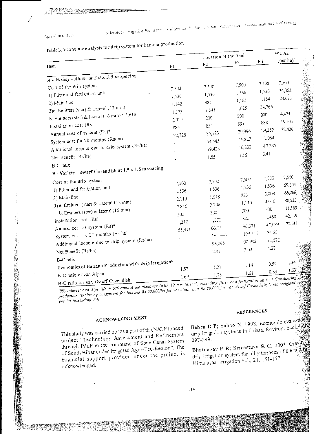Table 3. Economic analysis for drip system for banana production

| 14000                                                                                                                                                                                                                                                                                                                                                                                    |                                                                       | Location of the field                                                                   |                                                                                      | Wt. Av.                                                                                   |                                                                                                                               |
|------------------------------------------------------------------------------------------------------------------------------------------------------------------------------------------------------------------------------------------------------------------------------------------------------------------------------------------------------------------------------------------|-----------------------------------------------------------------------|-----------------------------------------------------------------------------------------|--------------------------------------------------------------------------------------|-------------------------------------------------------------------------------------------|-------------------------------------------------------------------------------------------------------------------------------|
| Item                                                                                                                                                                                                                                                                                                                                                                                     | F1                                                                    | F2                                                                                      | F3                                                                                   | $F+$                                                                                      | (per ha)'                                                                                                                     |
| $A - Variety - Alpan$ at $3.0 \times 3.0$ m spacing                                                                                                                                                                                                                                                                                                                                      |                                                                       |                                                                                         |                                                                                      |                                                                                           |                                                                                                                               |
| Cost of the drip system<br>1) Filter and fertigation unit<br>2) Main line<br>3)a. Emitters (star) & Lateral (12 mm)<br>b. Emitters (star) & lateral (16 mm) + 1,618<br>Installation cost (Rs)<br>Annual cost of system (Rs)*<br>System cost for 20 months (Rs/ha)<br>Additional Income due to drip system (Rs/ha)<br>Net Benefit (Rs/ha)<br><b>B-C</b> ratio                             | 7,500<br>1,536<br>1,142<br>1,373<br>$200$ $^{\circ}$<br>884<br>32,728 | 7,500<br>1,536<br>981<br>1,641<br>200<br>835<br>35,123<br>54,545<br>19,423<br>1.55      | 7,500<br>1,536<br>1,165<br>1,625<br>200<br>891<br>29,994<br>46,827<br>16,833<br>1.56 | 7,500<br>1,536<br>1,154<br>34,766<br>200<br>888<br>29,352<br>11,964<br>$-17,387$<br>0.41  | 7,500<br>34,362<br>24,673<br>4,474<br>19,503<br>ś<br>32,426<br><b>Change</b><br>i<br>Və                                       |
| B - Variety - Dwarf Cavendish at 1.5 x 1.5 m spacing<br>Cost of the drip system<br>1) Filter and fertigation unit<br>2) Main line<br>3) a. Emitters (star) & Lateral (12 mm)<br>b. Emitters (star) & lateral (16 mm)<br>Installation cost (Rs)<br>Annual cost of system (Rs)*<br>System cos and 20 months (Rs ha)<br>Additional Income due to drip system (Rs/ha)<br>Net Benefit (Rs/ha) | 7,500<br>1,536<br>2,110<br>2,816<br>300<br>1,212<br>55,411            | 7,500<br>1,536<br>1,648<br>2,208<br>300<br>1,272<br>66.05<br>$1 - -5$<br>96,895<br>2.47 | 7,500<br>1,536<br>833<br>1,110<br>300<br>820<br>96,371<br>195,310<br>98,942<br>2.03  | 7,500<br>1,536<br>3,008<br>4,016<br>300<br>1.488<br>47,089<br>54.561<br>$1 - 572$<br>1.27 | 7,500<br>59,305<br>66,266<br>88,533<br>11,583<br>42,119<br>72,611                                                             |
| <b>B-C</b> ratio<br>Economics of Banaua Production with Drip irrigations<br>B-C ratio of var. Alpan                                                                                                                                                                                                                                                                                      | 1.87<br>1.69                                                          | i.Ci<br>3.75                                                                            | 1.14<br>1.61                                                                         | 0.59<br>0.83                                                                              | $1.34 - 3$<br>1.63<br>$\epsilon$ $\sigma$ $=$ $\epsilon$ $\epsilon$ $\delta$ $\sigma$ $\epsilon$ $\sigma$ $\epsilon$ $\sigma$ |

19% interest and 5 yr life + 5% annual maintenance (with 12 mm lateral, excluding filter and fertigation unit); <sup>5</sup> Considering B-C ratio for var. Dwarf Cavendish production (excluding irrigation) for banana Rs 30,000/ha for var.Alpan and Rs 89,000 for var. awarf Cavendish; Area weighted average

per ha (excluding F4)

## ACKNOWLEDGEMENT

This study was carried out as a part of the NATP funded project "Technology Assessment and Refinement through IVLP in the command of Sone Canal System of South Bihar under Irrigated Agro-Eco-Region". The financial support provided under the project is acknowledged.

### **REFERENCES**

Behra B P; Sahoo N. 1998. Economic evaluations drip irrigation systems in Orissa. Environ. Ecol. 166 297-299.

Bhatnagar P R; Srivastava R C. 2003. Gravity drip irrigation system for hilly terraces of the northy Himalayas. Irrigation Sci., 21, 151-157.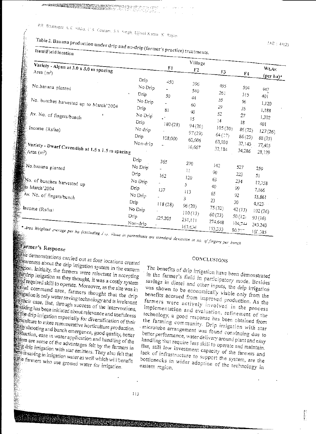# Table 2. Banana production under drip and no-drip (farmer's practice) treatments.

| Variety - Alpan at 3.0 x 3.0 m spacing<br>Area $(m^2)$                                                                                                                          |                                                                                                | F1                                    | Village<br>F2                                                                | F3                                                                          | F4                                                                         | Wt.Av.                                                                                              |
|---------------------------------------------------------------------------------------------------------------------------------------------------------------------------------|------------------------------------------------------------------------------------------------|---------------------------------------|------------------------------------------------------------------------------|-----------------------------------------------------------------------------|----------------------------------------------------------------------------|-----------------------------------------------------------------------------------------------------|
| No.banana planted<br>No. bunches harvested up to March'2004<br>Av. No. of fingers/bunch<br>Income $(Rs/ha)$<br>Variety - Dwarf Cavendish at 1.5 x 1.5 m spacing<br>Area $(m^2)$ | Drip<br>No Drip<br>Drip<br>No Drip<br>Drip<br>No Drip<br>Drip<br>No drip<br>Drip<br>$Ncn-drip$ | 450<br>50<br>81<br>180(28)<br>108,000 | 396<br>540<br>$+4$<br>60<br>40<br>15<br>94(20)<br>97(29)<br>60,606<br>16,667 | 495<br>261<br>55<br>29<br>52<br>[4]<br>105(30)<br>64(3)<br>63,030<br>32,184 | 504<br>315<br>56<br>35<br>27<br>18<br>86(22)<br>86(23)<br>32,143<br>34,286 | (per ha)*<br>447<br>40 î<br>1,120<br>1,188<br>1,302<br>401<br>127(26)<br>88(25)<br>77,405<br>28,129 |
| No.banana planted                                                                                                                                                               | $D_{\text{np}}$<br>No Drip<br>Drip                                                             | 365<br>162                            | 270<br>11                                                                    | 142<br>90                                                                   | 527<br>223                                                                 | 259<br>5ī                                                                                           |
| No. of bunches harvested up<br>sto March 2004<br>Av. No. of fingers/bunch                                                                                                       | No Drip<br>Drip<br>No Drip                                                                     | ÷<br>137                              | 120<br>5.<br>113<br>3                                                        | 63<br>40<br>65                                                              | 234<br>99<br>92                                                            | 17,758<br>7,166<br>15,861                                                                           |
| Income $(Rs/ha)$                                                                                                                                                                | Drip<br>No Drip<br>Drip<br>Non-drip                                                            | 118(28)<br>225.205                    | 96(20)<br>110(13)<br>251, 111                                                | 23<br>75(32)<br>60(23)<br>274,648                                           | 30<br>42(13)<br>50 (12)                                                    | 4,123<br>102(26)<br>93(16)                                                                          |
| * Area Weighted sperage per ha (excluding 2, 2, 25)                                                                                                                             |                                                                                                |                                       | 163.635                                                                      | 153,333                                                                     | 104,744<br>$80,7$ :                                                        | 243.243<br>160.385                                                                                  |

- }:;~ *•Area iY'eigh1ed ---orage per ha (excluding i oJ,*  '"""' *111 pore111hes1s are standard dev101:0;; In no af\_fr:ge.-s per ;;,,\_,,,ch* 

## Farmer's Response

 $\epsilon$  demonstrations carried out at four locations created  $\frac{t}{2}$  areness about the drip irrigation system in the eastern ·"~tion. Initially, *the* farmers were reluctant in accepting  $_{\rm eff}^{\rm me}$ drip irrigation as they thought, it was a costly system  $\frac{1}{2}$  required skill to operate. Moreover, as the site was in ficanal command area, farmers thought that the drip  $\frac{1}{2}$  ation is only water saving technology and is irrelevant an their case. But, through success of the interventions, triking *has* been initiated about relevance and usefulness , ...<br>of the drip irrigation especially for diversification of their **EXECULTURE CONSULTER CONSULTER**<br>EXECUTIVITY to more remunerative horticulture production. **.**<br>**Party shooting and bunch emergence, good quality, better should** the set in water application and handling of the  $\frac{1}{2}$  is some of the advantages felt by the farmers in If~.}~·\_ drip irrigation with star emitters. They *also* felt that  $\frac{1}{2}$  is saying in irrigation water as well which will be not in  $\frac{1}{2}$  $\mathbb{R}$ . Factors who use ground water for irrigarion. the farmers who use ground water for irrigation.

### CONCLUSIONS

The benefits of drip irrigation have been demonstrated in the farmer's field in participatory mode. Besides savings in diesel and other inputs, the drip irrigation \Vas sho\\-·n to *be* econonically viable *only* from the benefits accrued from improved production. As the farmers were actively involved in the process implementation and evaiuation, refinement of the technology, a good response has been obtained from the farming community. Drip irrigation with star microtube arrangement was found convincing due to better performance, water delivery around plant and easy handling that require less skill to operate and maintain. But, still low investmen! capacity of *the* farmers and lack of infrastructure to support the system, are the bottlenecks in \.\-'ider adoption of *the* technology in eastern region.